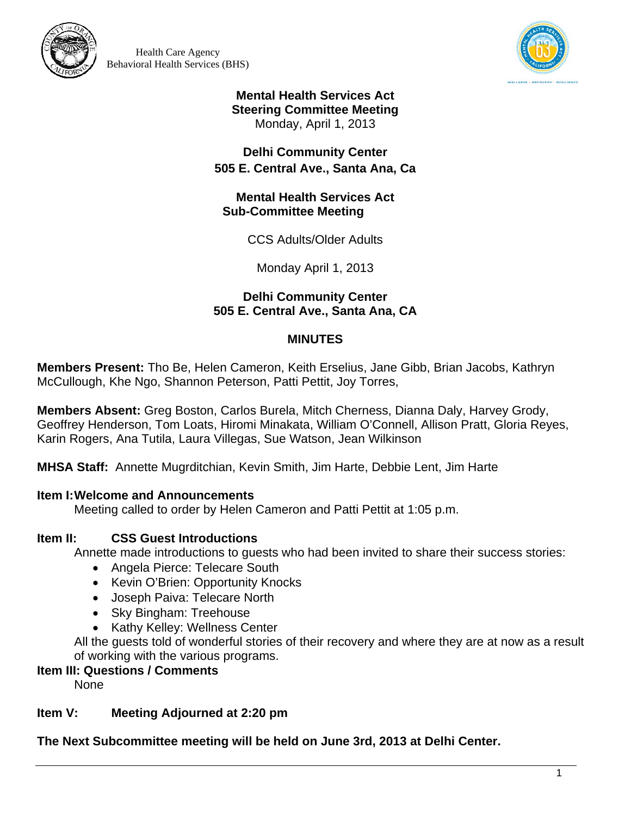



**Mental Health Services Act Steering Committee Meeting**  Monday, April 1, 2013

# **Delhi Community Center 505 E. Central Ave., Santa Ana, Ca**

### **Mental Health Services Act Sub-Committee Meeting**

CCS Adults/Older Adults

Monday April 1, 2013

# **Delhi Community Center 505 E. Central Ave., Santa Ana, CA**

# **MINUTES**

**Members Present:** Tho Be, Helen Cameron, Keith Erselius, Jane Gibb, Brian Jacobs, Kathryn McCullough, Khe Ngo, Shannon Peterson, Patti Pettit, Joy Torres,

**Members Absent:** Greg Boston, Carlos Burela, Mitch Cherness, Dianna Daly, Harvey Grody, Geoffrey Henderson, Tom Loats, Hiromi Minakata, William O'Connell, Allison Pratt, Gloria Reyes, Karin Rogers, Ana Tutila, Laura Villegas, Sue Watson, Jean Wilkinson

**MHSA Staff:** Annette Mugrditchian, Kevin Smith, Jim Harte, Debbie Lent, Jim Harte

# **Item I:Welcome and Announcements**

Meeting called to order by Helen Cameron and Patti Pettit at 1:05 p.m.

# **Item II: CSS Guest Introductions**

Annette made introductions to guests who had been invited to share their success stories:

- Angela Pierce: Telecare South
- Kevin O'Brien: Opportunity Knocks
- Joseph Paiva: Telecare North
- Sky Bingham: Treehouse
- Kathy Kelley: Wellness Center

All the guests told of wonderful stories of their recovery and where they are at now as a result of working with the various programs.

# **Item III: Questions / Comments**

None

# **Item V: Meeting Adjourned at 2:20 pm**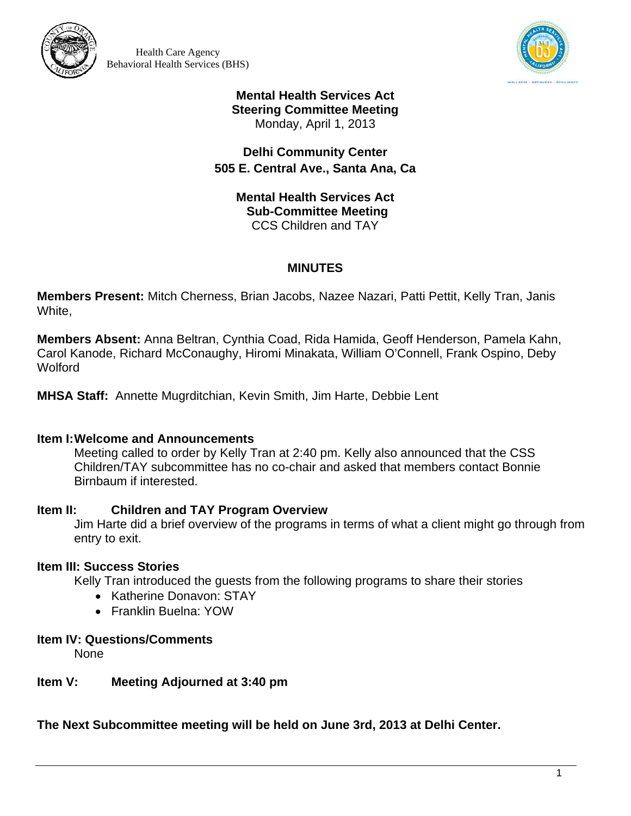



### **Mental Health Services Act Steering Committee Meeting**  Monday, April 1, 2013

# **Delhi Community Center 505 E. Central Ave., Santa Ana, Ca**

**Mental Health Services Act Sub-Committee Meeting** CCS Children and TAY

# **MINUTES**

**Members Present:** Mitch Cherness, Brian Jacobs, Nazee Nazari, Patti Pettit, Kelly Tran, Janis White,

**Members Absent:** Anna Beltran, Cynthia Coad, Rida Hamida, Geoff Henderson, Pamela Kahn, Carol Kanode, Richard McConaughy, Hiromi Minakata, William O'Connell, Frank Ospino, Deby **Wolford** 

**MHSA Staff:** Annette Mugrditchian, Kevin Smith, Jim Harte, Debbie Lent

# **Item I:Welcome and Announcements**

Meeting called to order by Kelly Tran at 2:40 pm. Kelly also announced that the CSS Children/TAY subcommittee has no co-chair and asked that members contact Bonnie Birnbaum if interested.

# **Item II: Children and TAY Program Overview**

Jim Harte did a brief overview of the programs in terms of what a client might go through from entry to exit.

# **Item III: Success Stories**

Kelly Tran introduced the guests from the following programs to share their stories

- Katherine Donavon: STAY
- Franklin Buelna: YOW

# **Item IV: Questions/Comments**

None

# **Item V: Meeting Adjourned at 3:40 pm**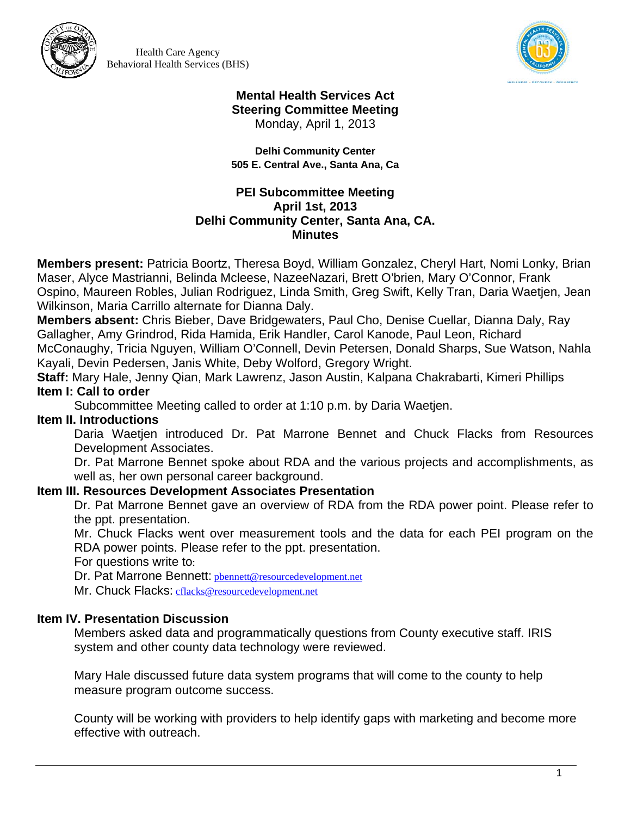



#### **Mental Health Services Act Steering Committee Meeting**  Monday, April 1, 2013

**Delhi Community Center 505 E. Central Ave., Santa Ana, Ca** 

## **PEI Subcommittee Meeting April 1st, 2013 Delhi Community Center, Santa Ana, CA. Minutes**

**Members present:** Patricia Boortz, Theresa Boyd, William Gonzalez, Cheryl Hart, Nomi Lonky, Brian Maser, Alyce Mastrianni, Belinda Mcleese, NazeeNazari, Brett O'brien, Mary O'Connor, Frank Ospino, Maureen Robles, Julian Rodriguez, Linda Smith, Greg Swift, Kelly Tran, Daria Waetjen, Jean Wilkinson, Maria Carrillo alternate for Dianna Daly.

**Members absent:** Chris Bieber, Dave Bridgewaters, Paul Cho, Denise Cuellar, Dianna Daly, Ray Gallagher, Amy Grindrod, Rida Hamida, Erik Handler, Carol Kanode, Paul Leon, Richard McConaughy, Tricia Nguyen, William O'Connell, Devin Petersen, Donald Sharps, Sue Watson, Nahla

Kayali, Devin Pedersen, Janis White, Deby Wolford, Gregory Wright.

**Staff:** Mary Hale, Jenny Qian, Mark Lawrenz, Jason Austin, Kalpana Chakrabarti, Kimeri Phillips **Item I: Call to order** 

Subcommittee Meeting called to order at 1:10 p.m. by Daria Waetjen.

# **Item II. Introductions**

Daria Waetjen introduced Dr. Pat Marrone Bennet and Chuck Flacks from Resources Development Associates.

Dr. Pat Marrone Bennet spoke about RDA and the various projects and accomplishments, as well as, her own personal career background.

# **Item III. Resources Development Associates Presentation**

Dr. Pat Marrone Bennet gave an overview of RDA from the RDA power point. Please refer to the ppt. presentation.

Mr. Chuck Flacks went over measurement tools and the data for each PEI program on the RDA power points. Please refer to the ppt. presentation.

For questions write to:

Dr. Pat Marrone Bennett: pbennett@resourcedevelopment.net Mr. Chuck Flacks: cflacks@resourcedevelopment.net

# **Item IV. Presentation Discussion**

Members asked data and programmatically questions from County executive staff. IRIS system and other county data technology were reviewed.

Mary Hale discussed future data system programs that will come to the county to help measure program outcome success.

County will be working with providers to help identify gaps with marketing and become more effective with outreach.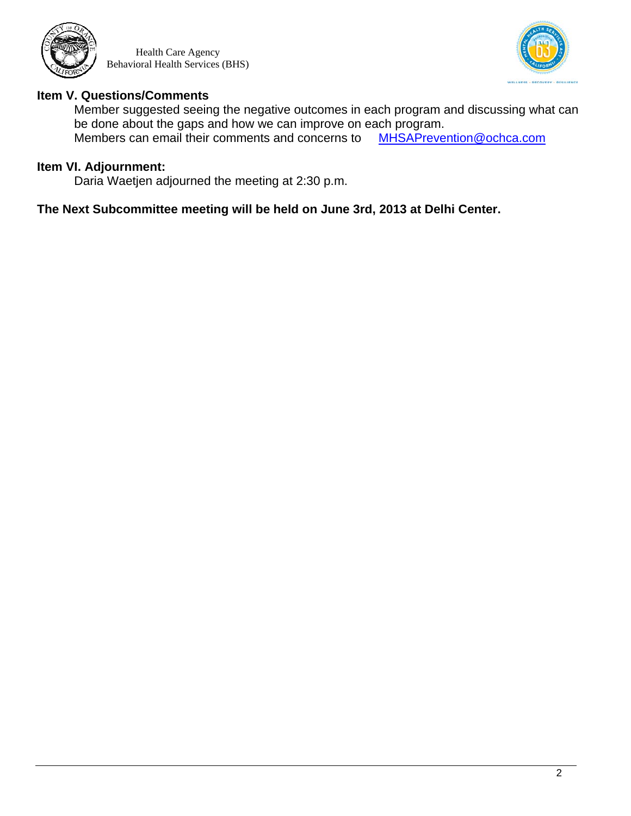



### **Item V. Questions/Comments**

Member suggested seeing the negative outcomes in each program and discussing what can be done about the gaps and how we can improve on each program.<br>Members can email their comments and concerns to MHSAPrevention@ochca.com Members can email their comments and concerns to

# **Item VI. Adjournment:**

Daria Waetjen adjourned the meeting at 2:30 p.m.